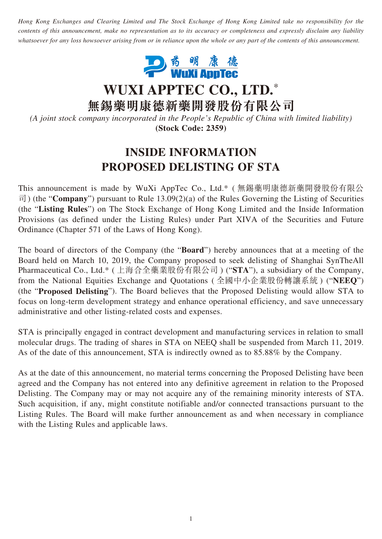*Hong Kong Exchanges and Clearing Limited and The Stock Exchange of Hong Kong Limited take no responsibility for the contents of this announcement, make no representation as to its accuracy or completeness and expressly disclaim any liability whatsoever for any loss howsoever arising from or in reliance upon the whole or any part of the contents of this announcement.*



**WUXI APPTEC CO., LTD.**\*

**無錫藥明康德新藥開發股份有限公司**

*(A joint stock company incorporated in the People's Republic of China with limited liability)* **(Stock Code: 2359)**

## **INSIDE INFORMATION PROPOSED DELISTING OF STA**

This announcement is made by WuXi AppTec Co., Ltd.\* ( 無錫藥明康德新藥開發股份有限公 司) (the "**Company**") pursuant to Rule 13.09(2)(a) of the Rules Governing the Listing of Securities (the "**Listing Rules**") on The Stock Exchange of Hong Kong Limited and the Inside Information Provisions (as defined under the Listing Rules) under Part XIVA of the Securities and Future Ordinance (Chapter 571 of the Laws of Hong Kong).

The board of directors of the Company (the "**Board**") hereby announces that at a meeting of the Board held on March 10, 2019, the Company proposed to seek delisting of Shanghai SynTheAll Pharmaceutical Co., Ltd.\* ( 上海合全藥業股份有限公司 ) ("**STA**"), a subsidiary of the Company, from the National Equities Exchange and Quotations ( 全國中小企業股份轉讓系統 ) ("**NEEQ**") (the "**Proposed Delisting**"). The Board believes that the Proposed Delisting would allow STA to focus on long-term development strategy and enhance operational efficiency, and save unnecessary administrative and other listing-related costs and expenses.

STA is principally engaged in contract development and manufacturing services in relation to small molecular drugs. The trading of shares in STA on NEEQ shall be suspended from March 11, 2019. As of the date of this announcement, STA is indirectly owned as to 85.88% by the Company.

As at the date of this announcement, no material terms concerning the Proposed Delisting have been agreed and the Company has not entered into any definitive agreement in relation to the Proposed Delisting. The Company may or may not acquire any of the remaining minority interests of STA. Such acquisition, if any, might constitute notifiable and/or connected transactions pursuant to the Listing Rules. The Board will make further announcement as and when necessary in compliance with the Listing Rules and applicable laws.